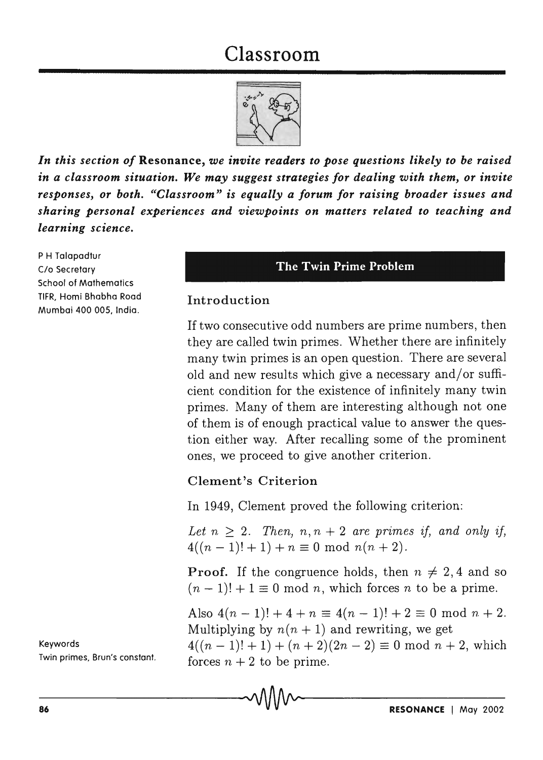# Classroom



*In this section of* Resonance, *we invite readers to pose questions likely to be raised in a classroom situation. We may suggest strategies for dealing with them, or invite responses, or both. "Classroom" is equally a forum for raising broader issues and sharing personal experiences and viewpoints on matters related to teaching and learning science.* 

P H Talapadtur c/o Secretary School of Mathematics TlFR, Homi Bhabha Road Mumbai 400 005, India.

#### The Twin Prime Problem

### Introduction

If two consecutive odd numbers are prime numbers, then they are called twin primes. Whether there are infinitely many twin primes is an open question. There are several old and new results which give a necessary and/or sufficient condition for the existence of infinitely many twin primes. Many of them are interesting although not one of them is of enough practical value to answer the question either way. After recalling some of the prominent ones, we proceed to give another criterion.

### Clement '8 Criterion

In 1949, Clement proved the following criterion:

*Let*  $n > 2$ . *Then, n, n + 2 are primes if, and only if,*  $4((n-1)! + 1) + n \equiv 0 \text{ mod } n(n+2).$ 

**Proof.** If the congruence holds, then  $n \neq 2, 4$  and so  $(n-1)! + 1 \equiv 0 \mod n$ , which forces *n* to be a prime.

Also  $4(n-1)! + 4 + n \equiv 4(n-1)! + 2 \equiv 0 \mod n + 2$ . Multiplying by  $n(n + 1)$  and rewriting, we get  $4((n-1)! + 1) + (n+2)(2n-2) \equiv 0 \mod n + 2$ , which forces  $n + 2$  to be prime.

Keywords

Twin primes, Brun's constant.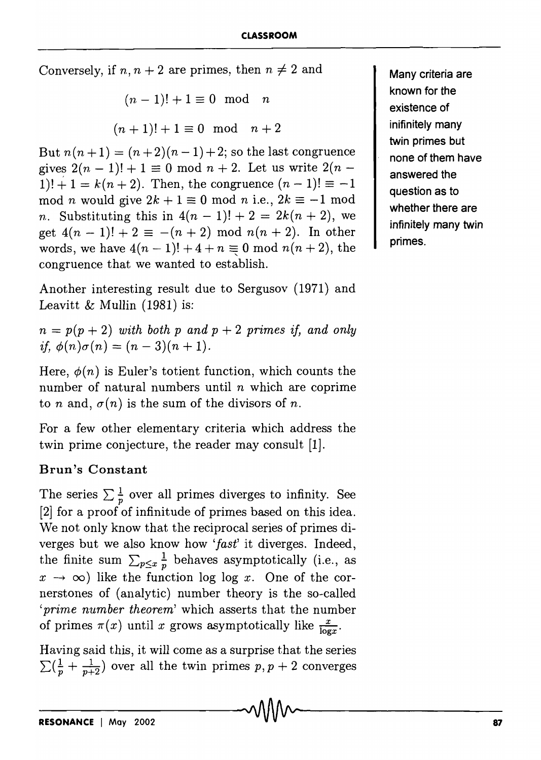Conversely, if  $n, n + 2$  are primes, then  $n \neq 2$  and

$$
(n-1)! + 1 \equiv 0 \mod n
$$

$$
(n+1)! + 1 \equiv 0 \mod n + 2
$$

But  $n(n+1) = (n+2)(n-1)+2$ ; so the last congruence gives  $2(n - 1)! + 1 \equiv 0 \mod n + 2$ . Let us write  $2(n - 1)$  $1)! + 1 = k(n + 2)$ . Then, the congruence  $(n - 1)! \equiv -1$ mod *n* would give  $2k + 1 \equiv 0 \text{ mod } n$  i.e.,  $2k \equiv -1 \text{ mod } n$ *n*. Substituting this in  $4(n-1)! + 2 = 2k(n+2)$ , we get  $4(n-1)! + 2 \equiv -(n+2) \mod n(n+2)$ . In other words, we have  $4(n-1)! + 4 + n \equiv 0 \mod n(n+2)$ , the congruence that we wanted to establish.

Another interesting result due to Sergusov (1971) and Leavitt & Mullin  $(1981)$  is:

 $n = p(p + 2)$  *with both p and p + 2 primes if, and only*  $~if, \phi(n)\sigma(n) = (n-3)(n+1).$ 

Here,  $\phi(n)$  is Euler's totient function, which counts the number of natural numbers until *n* which are coprime to n and,  $\sigma(n)$  is the sum of the divisors of n.

For a few other elementary criteria which address the twin prime conjecture, the reader may consult [1].

## Brun's Constant

The series  $\sum \frac{1}{n}$  over all primes diverges to infinity. See [2] for a proof of infinitude of primes based on this idea. We not only know that the reciprocal series of primes diverges but we also know how *'fast'* it diverges. Indeed, the finite sum  $\sum_{p\leq x} \frac{1}{p}$  behaves asymptotically (i.e., as  $x \rightarrow \infty$ ) like the function log log *x*. One of the cornerstones of (analytic) number theory is the so-called *'prime number theorem'* which asserts that the number of primes  $\pi(x)$  until *x* grows asymptotically like  $\frac{x}{\log x}$ .

Having said this, it will come as a surprise that the series  $\sum(\frac{1}{p} + \frac{1}{p+2})$  over all the twin primes  $p, p+2$  converges Many criteria are known for the existence of inifinitely many twin primes but none of them have answered the question as to whether there are infinitely many twin primes.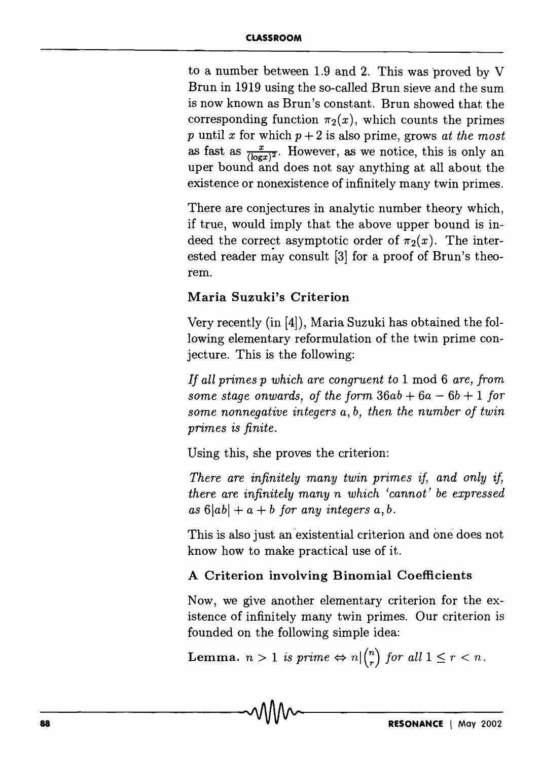to a number between 1.9 and 2. This was proved by V Brun in 1919 using the so-called Brun sieve and the sum is now known as Brun's constant. Brun showed that the corresponding function  $\pi_2(x)$ , which counts the primes  $p$  until  $x$  for which  $p + 2$  is also prime, grows *at the most* as fast as  $\frac{x}{(\log x)^2}$ . However, as we notice, this is only an uper bound and does not say anything at all about the existence or nonexistence of infinitely many twin primes.

There are conjectures in analytic number theory which, if true, would imply that the above upper bound is indeed the correct asymptotic order of  $\pi_2(x)$ . The interested reader may consult  $[3]$  for a proof of Brun's theorem.

## Maria Suzuki's Criterion

Very recently (in [4]), Maria Suzuki has obtained the following elementary reformulation of the twin prime conjecture. This is the following:

*If all primes p which are congruent to* 1 mod 6 *are, from some stage onwards, of the form*  $36ab + 6a - 6b + 1$  *for some nonnegative integers a, b, then the number of twin primes* is *finite.* 

Using this, she proves the criterion:

*There are infinitely many twin primes if, and only if, there are infinitely many n which 'cannot' be expressed*  $as 6|ab| + a + b$  *for any integers a, b.* 

This is also just an existential criterion and one does not know how to make practical use of it.

## A Criterion involving Binomial Coefficients

Now, we give another elementary criterion for the existence of infinitely many twin primes. Our criterion is founded on the following simple idea:

**Lemma.**  $n > 1$  is prime  $\Leftrightarrow n \vert {n \choose r}$  for all  $1 \leq r < n$ .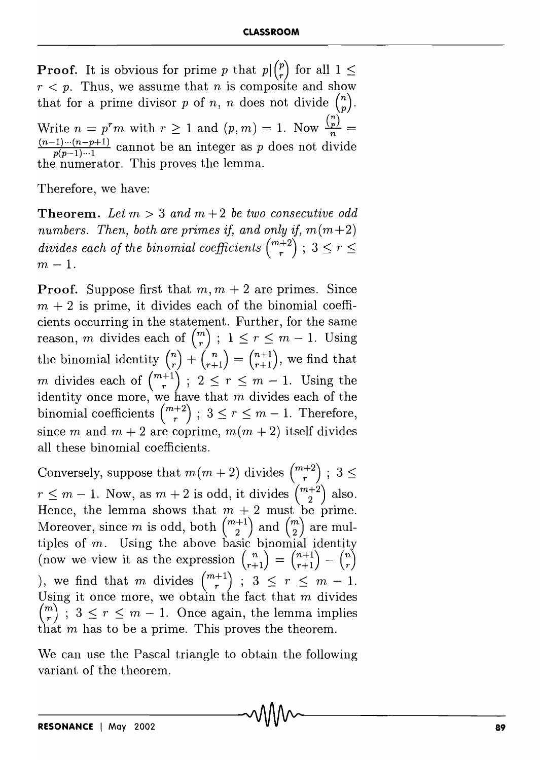**Proof.** It is obvious for prime p that  $p \binom{p}{r}$  for all  $1 \leq$  $r < p$ . Thus, we assume that *n* is composite and show that for a prime divisor p of n, n does not divide  $\binom{n}{n}$ . Write  $n = p^r m$  with  $r \ge 1$  and  $(p, m) = 1$ . Now  $\frac{\binom{n}{p}}{n}$ .  $\frac{(n-1)\cdots(n-p+1)}{n(n-1)\cdots1}$  cannot be an integer as p does not divide the numerator. This proves the lemma.

Therefore, we have:

**Theorem.** Let  $m > 3$  and  $m + 2$  be two consecutive odd *numbers. Then, both are primes if, and only if, m(m+2) divides each of the binomial coefficients*  $\binom{m+2}{r}$ ;  $3 \leq r \leq$  $m - 1$ .

**Proof.** Suppose first that  $m, m + 2$  are primes. Since  $m + 2$  is prime, it divides each of the binomial coefficients occurring in the statement. Further, for the same reason, *m* divides each of  $\binom{m}{r}$ ;  $1 \leq r \leq m - 1$ . Using the binomial identity  $\binom{n}{r} + \binom{n}{r+1} = \binom{n+1}{r+1}$ , we find that m divides each of  $\binom{m+1}{r}$ ;  $2 \leq r \leq m-1$ . Using the identity once more, we have that  $m$  divides each of the binomial coefficients  $\binom{m+2}{r}$ ;  $3 \leq r \leq m-1$ . Therefore, since m, and  $m + 2$  are coprime,  $m(m + 2)$  itself divides all these binomial coefficients.

Conversely, suppose that  $m(m+2)$  divides  $\binom{m+2}{r}$ ;  $3 \leq$  $r \leq m - 1$ . Now, as  $m + 2$  is odd, it divides  $\binom{m+2}{2}$  also. Hence, the lemma shows that  $m + 2$  must be prime. Moreover, since  $m$  is odd, both  $\binom{m+1}{2}$  and  $\binom{m}{2}$  are multiples of  $m$ . Using the above basic binomial identity (now we view it as the expression  $\binom{n}{r+1} = \binom{n+1}{r+1} - \binom{n}{r}$ ), we find that m divides  $\binom{m+1}{r}$ ;  $3 \leq r \leq m-1$ . Using it once more, we obtain the fact that  $m$  divides  $\binom{m}{r}$ ;  $3 \leq r \leq m-1$ . Once again, the lemma implies that  $m$  has to be a prime. This proves the theorem.

We can use the Pascal triangle to obtain the following variant of the theorem.